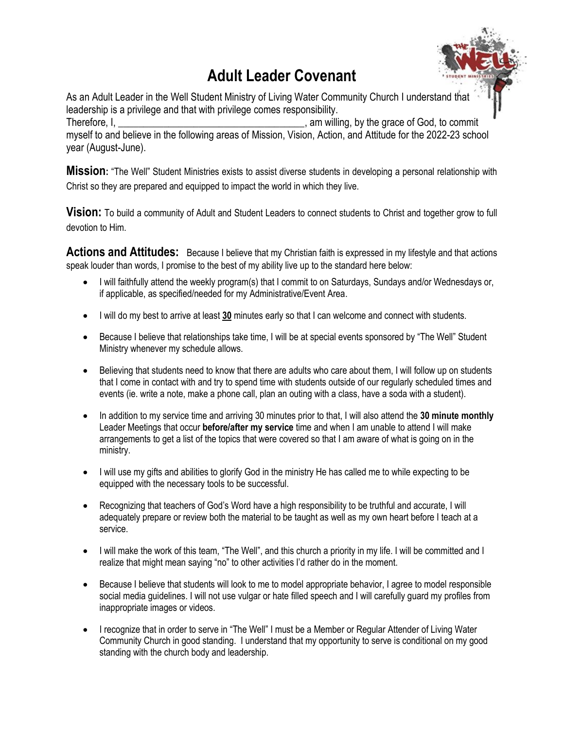# **Adult Leader Covenant**



As an Adult Leader in the Well Student Ministry of Living Water Community Church I understand that leadership is a privilege and that with privilege comes responsibility. Therefore, I, Therefore, I, Therefore, I,  $\blacksquare$ myself to and believe in the following areas of Mission, Vision, Action, and Attitude for the 2022-23 school year (August-June).

**Mission:** "The Well" Student Ministries exists to assist diverse students in developing a personal relationship with Christ so they are prepared and equipped to impact the world in which they live.

**Vision:** To build a community of Adult and Student Leaders to connect students to Christ and together grow to full devotion to Him.

**Actions and Attitudes:** Because I believe that my Christian faith is expressed in my lifestyle and that actions speak louder than words, I promise to the best of my ability live up to the standard here below:

- I will faithfully attend the weekly program(s) that I commit to on Saturdays, Sundays and/or Wednesdays or, if applicable, as specified/needed for my Administrative/Event Area.
- I will do my best to arrive at least **30** minutes early so that I can welcome and connect with students.
- Because I believe that relationships take time, I will be at special events sponsored by "The Well" Student Ministry whenever my schedule allows.
- Believing that students need to know that there are adults who care about them, I will follow up on students that I come in contact with and try to spend time with students outside of our regularly scheduled times and events (ie. write a note, make a phone call, plan an outing with a class, have a soda with a student).
- In addition to my service time and arriving 30 minutes prior to that, I will also attend the **30 minute monthly** Leader Meetings that occur **before/after my service** time and when I am unable to attend I will make arrangements to get a list of the topics that were covered so that I am aware of what is going on in the ministry.
- I will use my gifts and abilities to glorify God in the ministry He has called me to while expecting to be equipped with the necessary tools to be successful.
- Recognizing that teachers of God's Word have a high responsibility to be truthful and accurate, I will adequately prepare or review both the material to be taught as well as my own heart before I teach at a service.
- I will make the work of this team, "The Well", and this church a priority in my life. I will be committed and I realize that might mean saying "no" to other activities I'd rather do in the moment.
- Because I believe that students will look to me to model appropriate behavior, I agree to model responsible social media guidelines. I will not use vulgar or hate filled speech and I will carefully guard my profiles from inappropriate images or videos.
- I recognize that in order to serve in "The Well" I must be a Member or Regular Attender of Living Water Community Church in good standing. I understand that my opportunity to serve is conditional on my good standing with the church body and leadership.